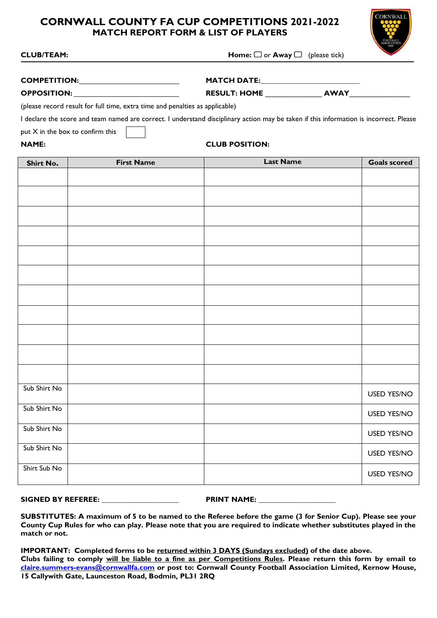# **CORNWALL COUNTY FA CUP COMPETITIONS 2021-2022 MATCH REPORT FORM & LIST OF PLAYERS**



| <b>CLUB/TEAM:</b> | Hoı |
|-------------------|-----|

 $\mathbf{c}$ **CLUB/TEAM:**  $\Box$  or **Away**  $\Box$  (please tick)

| <b>COMPETITION:</b> | <b>MATCH DATE:</b>  |             |
|---------------------|---------------------|-------------|
| <b>OPPOSITION:</b>  | <b>RESULT: HOME</b> | <b>AWAY</b> |

(please record result for full time, extra time and penalties as applicable)

I declare the score and team named are correct. I understand disciplinary action may be taken if this information is incorrect. Please

put X in the box to confirm this

# **NAME: CLUB POSITION:**

| <b>Shirt No.</b> | <b>First Name</b> | <b>Last Name</b> | <b>Goals scored</b> |
|------------------|-------------------|------------------|---------------------|
|                  |                   |                  |                     |
|                  |                   |                  |                     |
|                  |                   |                  |                     |
|                  |                   |                  |                     |
|                  |                   |                  |                     |
|                  |                   |                  |                     |
|                  |                   |                  |                     |
|                  |                   |                  |                     |
|                  |                   |                  |                     |
|                  |                   |                  |                     |
|                  |                   |                  |                     |
| Sub Shirt No     |                   |                  | <b>USED YES/NO</b>  |
| Sub Shirt No     |                   |                  | <b>USED YES/NO</b>  |
| Sub Shirt No     |                   |                  | <b>USED YES/NO</b>  |
| Sub Shirt No     |                   |                  | <b>USED YES/NO</b>  |
| Shirt Sub No     |                   |                  | <b>USED YES/NO</b>  |

## **SIGNED BY REFEREE: \_\_\_\_\_\_\_\_\_\_\_\_\_\_\_\_\_\_\_\_\_ PRINT NAME: \_\_\_\_\_\_\_\_\_\_\_\_\_\_\_\_\_\_\_\_\_**

**SUBSTITUTES: A maximum of 5 to be named to the Referee before the game (3 for Senior Cup). Please see your County Cup Rules for who can play. Please note that you are required to indicate whether substitutes played in the match or not.** 

**IMPORTANT: Completed forms to be returned within 3 DAYS (Sundays excluded) of the date above. Clubs failing to comply will be liable to a fine as per Competitions Rules. Please return this form by email to [claire.summers-evans@cornwallfa.com](mailto:claire.summers-evans@cornwallfa.com) or post to: Cornwall County Football Association Limited, Kernow House, 15 Callywith Gate, Launceston Road, Bodmin, PL31 2RQ**